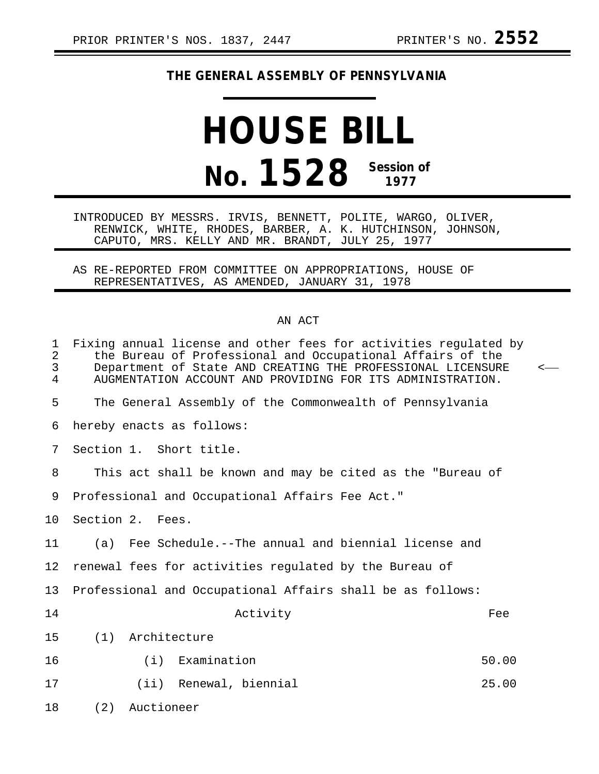## **THE GENERAL ASSEMBLY OF PENNSYLVANIA**

## **HOUSE BILL No. 1528 Session of 1977**

INTRODUCED BY MESSRS. IRVIS, BENNETT, POLITE, WARGO, OLIVER, RENWICK, WHITE, RHODES, BARBER, A. K. HUTCHINSON, JOHNSON, CAPUTO, MRS. KELLY AND MR. BRANDT, JULY 25, 1977

AS RE-REPORTED FROM COMMITTEE ON APPROPRIATIONS, HOUSE OF REPRESENTATIVES, AS AMENDED, JANUARY 31, 1978

## AN ACT

| 1<br>$\overline{a}$<br>$\mathfrak{Z}$<br>$\overline{4}$ | Fixing annual license and other fees for activities regulated by<br>the Bureau of Professional and Occupational Affairs of the<br>Department of State AND CREATING THE PROFESSIONAL LICENSURE<br>AUGMENTATION ACCOUNT AND PROVIDING FOR ITS ADMINISTRATION. | < |
|---------------------------------------------------------|-------------------------------------------------------------------------------------------------------------------------------------------------------------------------------------------------------------------------------------------------------------|---|
| 5                                                       | The General Assembly of the Commonwealth of Pennsylvania                                                                                                                                                                                                    |   |
| 6                                                       | hereby enacts as follows:                                                                                                                                                                                                                                   |   |
| 7                                                       | Section 1. Short title.                                                                                                                                                                                                                                     |   |
| 8                                                       | This act shall be known and may be cited as the "Bureau of                                                                                                                                                                                                  |   |
| 9                                                       | Professional and Occupational Affairs Fee Act."                                                                                                                                                                                                             |   |
| 10                                                      | Section 2. Fees.                                                                                                                                                                                                                                            |   |
| 11                                                      | (a) Fee Schedule.--The annual and biennial license and                                                                                                                                                                                                      |   |
| 12 <sub>1</sub>                                         | renewal fees for activities regulated by the Bureau of                                                                                                                                                                                                      |   |
| 13                                                      | Professional and Occupational Affairs shall be as follows:                                                                                                                                                                                                  |   |
| 14                                                      | Activity<br>Fee                                                                                                                                                                                                                                             |   |
| 15                                                      | (1)<br>Architecture                                                                                                                                                                                                                                         |   |
| 16                                                      | (i) Examination<br>50.00                                                                                                                                                                                                                                    |   |
| 17                                                      | 25.00<br>(ii) Renewal, biennial                                                                                                                                                                                                                             |   |
| 18                                                      | (2)<br>Auctioneer                                                                                                                                                                                                                                           |   |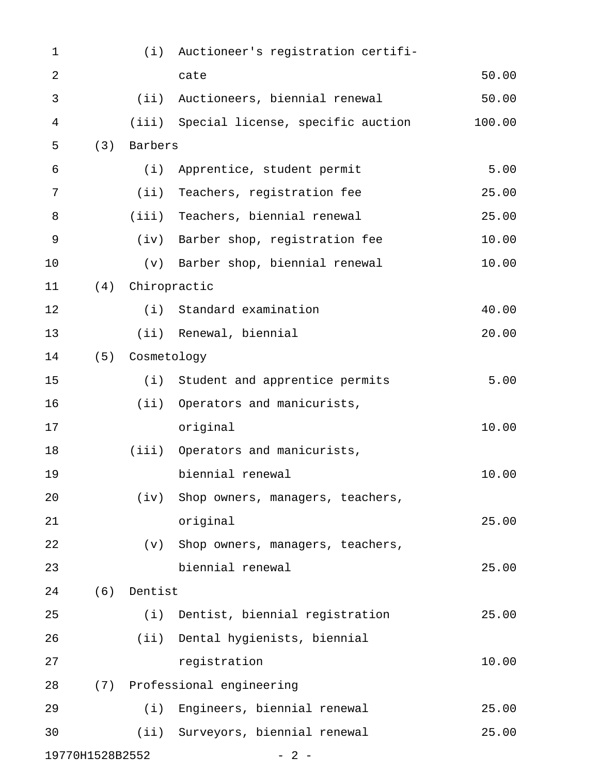| $\mathbf 1$     |     |                  | (i) Auctioneer's registration certifi-  |        |
|-----------------|-----|------------------|-----------------------------------------|--------|
| $\overline{2}$  |     |                  | cate                                    | 50.00  |
| $\mathfrak{Z}$  |     |                  | (ii) Auctioneers, biennial renewal      | 50.00  |
| 4               |     |                  | (iii) Special license, specific auction | 100.00 |
| 5               | (3) | Barbers          |                                         |        |
| 6               |     |                  | (i) Apprentice, student permit          | 5.00   |
| 7               |     | (i)              | Teachers, registration fee              | 25.00  |
| $\, 8$          |     |                  | (iii) Teachers, biennial renewal        | 25.00  |
| $\mathsf 9$     |     |                  | (iv) Barber shop, registration fee      | 10.00  |
| 10              |     |                  | (v) Barber shop, biennial renewal       | 10.00  |
| 11              |     | (4) Chiropractic |                                         |        |
| 12              |     |                  | (i) Standard examination                | 40.00  |
| 13              |     |                  | (ii) Renewal, biennial                  | 20.00  |
| 14              |     | (5) Cosmetology  |                                         |        |
| 15              |     |                  | (i) Student and apprentice permits      | 5.00   |
| 16              |     |                  | (ii) Operators and manicurists,         |        |
| 17              |     |                  | original                                | 10.00  |
| 18              |     |                  | (iii) Operators and manicurists,        |        |
| 19              |     |                  | biennial renewal                        | 10.00  |
| 20              |     | (iv)             | Shop owners, managers, teachers,        |        |
| 21              |     |                  | original                                | 25.00  |
| 22              |     | (v)              | Shop owners, managers, teachers,        |        |
| 23              |     |                  | biennial renewal                        | 25.00  |
| 24              | (6) | Dentist          |                                         |        |
| 25              |     | (i)              | Dentist, biennial registration          | 25.00  |
| 26              |     |                  | (ii) Dental hygienists, biennial        |        |
| 27              |     |                  | registration                            | 10.00  |
| 28              |     |                  | (7) Professional engineering            |        |
| 29              |     |                  | (i) Engineers, biennial renewal         | 25.00  |
| 30              |     |                  | (ii) Surveyors, biennial renewal        | 25.00  |
| 19770H1528B2552 |     |                  | $-2-$                                   |        |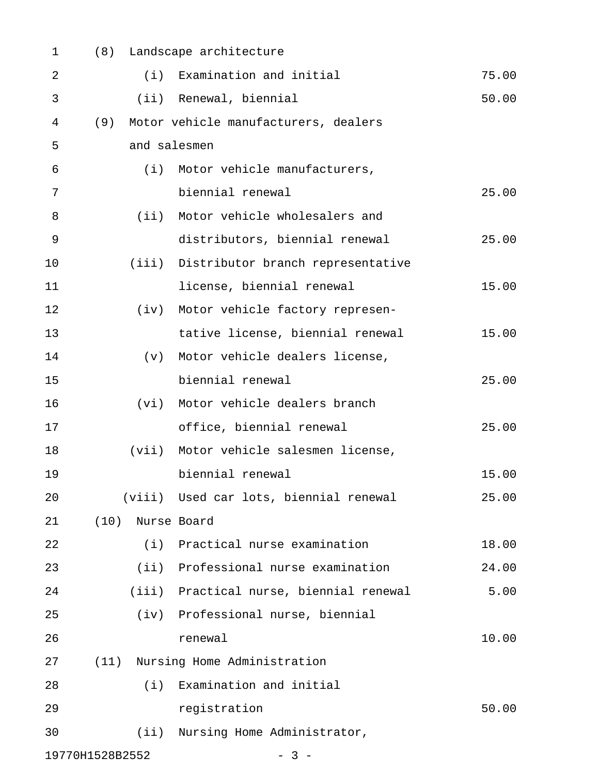| 1              | (8)             | Landscape architecture                  |       |
|----------------|-----------------|-----------------------------------------|-------|
| $\overline{2}$ | (i)             | Examination and initial                 | 75.00 |
| 3              | (iii)           | Renewal, biennial                       | 50.00 |
| 4              | (9)             | Motor vehicle manufacturers, dealers    |       |
| 5              |                 | and salesmen                            |       |
| 6              | (i)             | Motor vehicle manufacturers,            |       |
| 7              |                 | biennial renewal                        | 25.00 |
| 8              | (iii)           | Motor vehicle wholesalers and           |       |
| 9              |                 | distributors, biennial renewal          | 25.00 |
| 10             | (iii)           | Distributor branch representative       |       |
| 11             |                 | license, biennial renewal               | 15.00 |
| 12             | (iv)            | Motor vehicle factory represen-         |       |
| 13             |                 | tative license, biennial renewal        | 15.00 |
| 14             | (v)             | Motor vehicle dealers license,          |       |
| 15             |                 | biennial renewal                        | 25.00 |
| 16             | (vi)            | Motor vehicle dealers branch            |       |
| 17             |                 | office, biennial renewal                | 25.00 |
| 18             | (vii)           | Motor vehicle salesmen license,         |       |
| 19             |                 | biennial renewal                        | 15.00 |
| 20             |                 | (viii) Used car lots, biennial renewal  | 25.00 |
| 21             | (10)            | Nurse Board                             |       |
| 22             | (i)             | Practical nurse examination             | 18.00 |
| 23             |                 | (ii) Professional nurse examination     | 24.00 |
| 24             |                 | (iii) Practical nurse, biennial renewal | 5.00  |
| 25             |                 | (iv) Professional nurse, biennial       |       |
| 26             |                 | renewal                                 | 10.00 |
| 27             |                 | (11) Nursing Home Administration        |       |
| 28             | (i)             | Examination and initial                 |       |
| 29             |                 | registration                            | 50.00 |
| 30             |                 | (ii) Nursing Home Administrator,        |       |
|                | 19770H1528B2552 | $-3 -$                                  |       |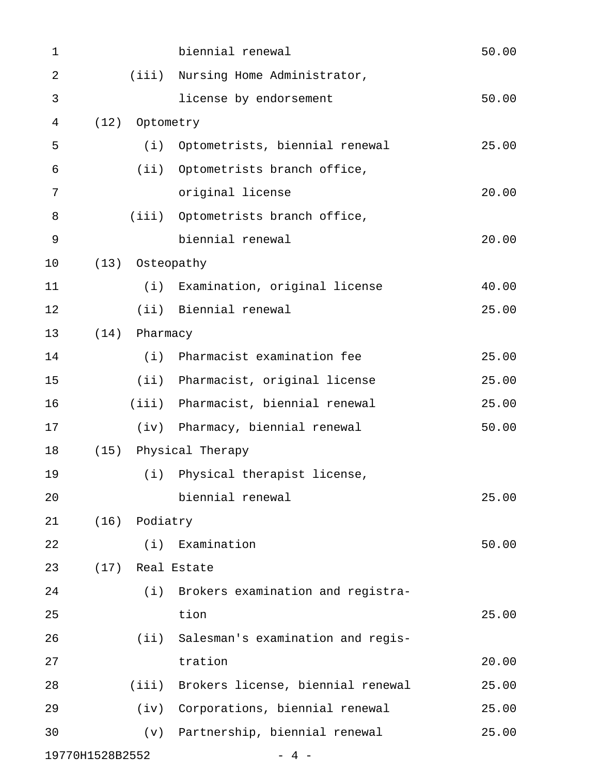| $\mathbf 1$ |                 |                 | biennial renewal                        | 50.00 |
|-------------|-----------------|-----------------|-----------------------------------------|-------|
| $\sqrt{2}$  |                 |                 | (iii) Nursing Home Administrator,       |       |
| 3           |                 |                 | license by endorsement                  | 50.00 |
| 4           | (12)            | Optometry       |                                         |       |
| 5           |                 | (i)             | Optometrists, biennial renewal          | 25.00 |
| 6           |                 |                 | (ii) Optometrists branch office,        |       |
| 7           |                 |                 | original license                        | 20.00 |
| 8           |                 |                 | (iii) Optometrists branch office,       |       |
| 9           |                 |                 | biennial renewal                        | 20.00 |
| 10          |                 | (13) Osteopathy |                                         |       |
| 11          |                 |                 | (i) Examination, original license       | 40.00 |
| 12          |                 |                 | (ii) Biennial renewal                   | 25.00 |
| 13          | (14)            | Pharmacy        |                                         |       |
| 14          |                 | (i)             | Pharmacist examination fee              | 25.00 |
| 15          |                 |                 | (ii) Pharmacist, original license       | 25.00 |
| 16          |                 |                 | (iii) Pharmacist, biennial renewal      | 25.00 |
| 17          |                 |                 | (iv) Pharmacy, biennial renewal         | 50.00 |
| 18          | (15)            |                 | Physical Therapy                        |       |
| 19          |                 |                 | (i) Physical therapist license,         |       |
| 20          |                 |                 | biennial renewal                        | 25.00 |
| 21          | (16)            | Podiatry        |                                         |       |
| 22          |                 | (i)             | Examination                             | 50.00 |
| 23          | (17)            |                 | Real Estate                             |       |
| 24          |                 |                 | (i) Brokers examination and registra-   |       |
| 25          |                 |                 | tion                                    | 25.00 |
| 26          |                 |                 | (ii) Salesman's examination and regis-  |       |
| 27          |                 |                 | tration                                 | 20.00 |
| 28          |                 |                 | (iii) Brokers license, biennial renewal | 25.00 |
| 29          |                 |                 | (iv) Corporations, biennial renewal     | 25.00 |
| 30          |                 |                 | (v) Partnership, biennial renewal       | 25.00 |
|             | 19770H1528B2552 |                 | - 4 -                                   |       |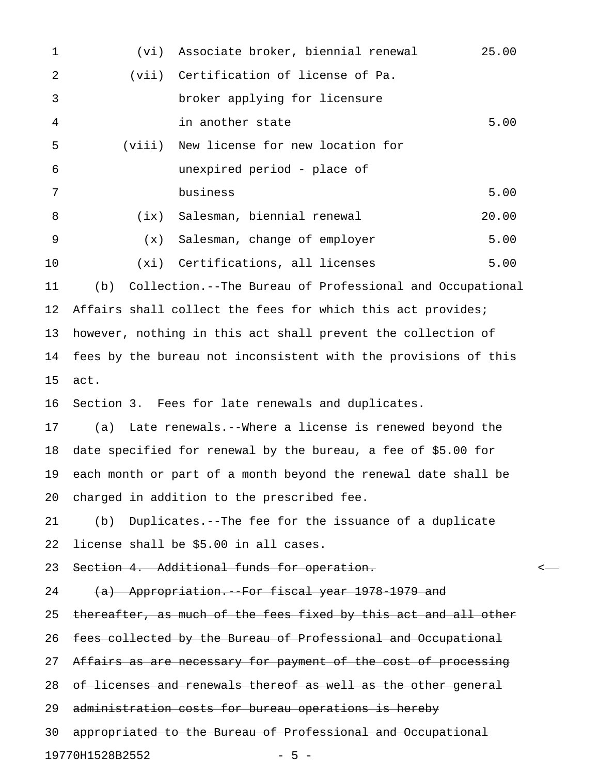| 1  | (vi)                                                            | Associate broker, biennial renewal                              | 25.00 |  |
|----|-----------------------------------------------------------------|-----------------------------------------------------------------|-------|--|
| 2  | (vii)                                                           | Certification of license of Pa.                                 |       |  |
| 3  |                                                                 | broker applying for licensure                                   |       |  |
| 4  |                                                                 | in another state                                                | 5.00  |  |
| 5  | (viii)                                                          | New license for new location for                                |       |  |
| 6  |                                                                 | unexpired period - place of                                     |       |  |
| 7  |                                                                 | business                                                        | 5.00  |  |
| 8  | (ix)                                                            | Salesman, biennial renewal                                      | 20.00 |  |
| 9  | (x)                                                             | Salesman, change of employer                                    | 5.00  |  |
| 10 | (xi)                                                            | Certifications, all licenses                                    | 5.00  |  |
| 11 | (b)                                                             | Collection.--The Bureau of Professional and Occupational        |       |  |
| 12 | Affairs shall collect the fees for which this act provides;     |                                                                 |       |  |
| 13 | however, nothing in this act shall prevent the collection of    |                                                                 |       |  |
| 14 | fees by the bureau not inconsistent with the provisions of this |                                                                 |       |  |
| 15 | act.                                                            |                                                                 |       |  |
| 16 |                                                                 | Section 3. Fees for late renewals and duplicates.               |       |  |
| 17 | (a)                                                             | Late renewals.--Where a license is renewed beyond the           |       |  |
| 18 | date specified for renewal by the bureau, a fee of \$5.00 for   |                                                                 |       |  |
| 19 | each month or part of a month beyond the renewal date shall be  |                                                                 |       |  |
| 20 |                                                                 | charged in addition to the prescribed fee.                      |       |  |
| 21 |                                                                 | (b) Duplicates.--The fee for the issuance of a duplicate        |       |  |
| 22 |                                                                 | license shall be \$5.00 in all cases.                           |       |  |
| 23 |                                                                 | Section 4. Additional funds for operation.                      |       |  |
| 24 |                                                                 | (a) Appropriation. For fiscal year 1978 1979 and                |       |  |
| 25 |                                                                 | thereafter, as much of the fees fixed by this act and all other |       |  |
| 26 |                                                                 | fees collected by the Bureau of Professional and Occupational   |       |  |
| 27 |                                                                 | Affairs as are necessary for payment of the cost of processing  |       |  |
| 28 |                                                                 | of licenses and renewals thereof as well as the other general   |       |  |
| 29 | administration costs for bureau operations is hereby            |                                                                 |       |  |
| 30 |                                                                 | appropriated to the Bureau of Professional and Occupational     |       |  |
|    |                                                                 |                                                                 |       |  |

19770H1528B2552 - 5 -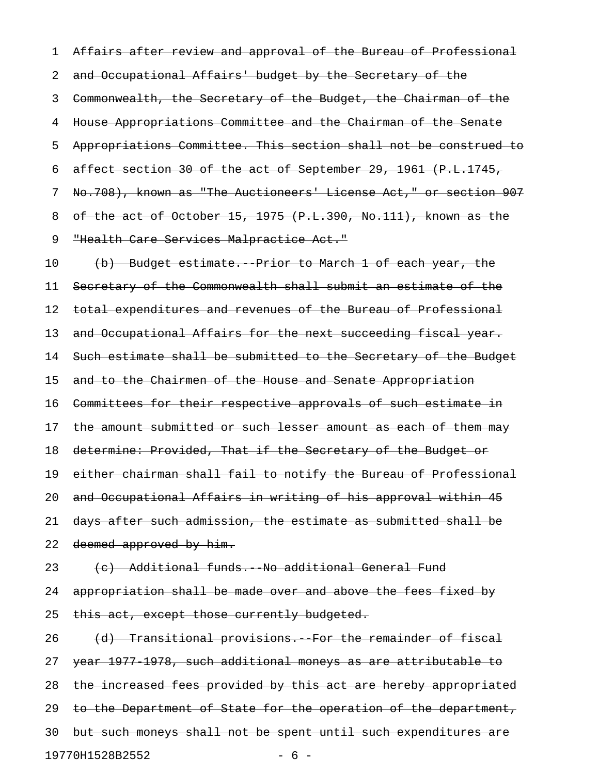1 Affairs after review and approval of the Bureau of Professional 2 and Occupational Affairs' budget by the Secretary of the 3 Commonwealth, the Secretary of the Budget, the Chairman of the 4 House Appropriations Committee and the Chairman of the Senate 5 Appropriations Committee. This section shall not be construed to 6 affect section 30 of the act of September 29, 1961 (P.L.1745, 7 No.708), known as "The Auctioneers' License Act," or section 907 8 of the act of October 15, 1975 (P.L.390, No.111), known as the 9 "Health Care Services Malpractice Act."

10 (b) Budget estimate. Prior to March 1 of each year, the 11 Secretary of the Commonwealth shall submit an estimate of the 12 total expenditures and revenues of the Bureau of Professional 13 and Occupational Affairs for the next succeeding fiscal year. 14 Such estimate shall be submitted to the Secretary of the Budget 15 and to the Chairmen of the House and Senate Appropriation 16 Committees for their respective approvals of such estimate in 17 the amount submitted or such lesser amount as each of them may 18 determine: Provided, That if the Secretary of the Budget or 19 either chairman shall fail to notify the Bureau of Professional 20 and Occupational Affairs in writing of his approval within 45 21 days after such admission, the estimate as submitted shall be 22 deemed approved by him.

## 23 (c) Additional funds. No additional General Fund 24 appropriation shall be made over and above the fees fixed by 25 this act, except those currently budgeted.

26  $(d)$  Transitional provisions. For the remainder of fiscal 27 year 1977-1978, such additional moneys as are attributable to 28 the increased fees provided by this act are hereby appropriated 29 to the Department of State for the operation of the department, 30 but such moneys shall not be spent until such expenditures are 19770H1528B2552 - 6 -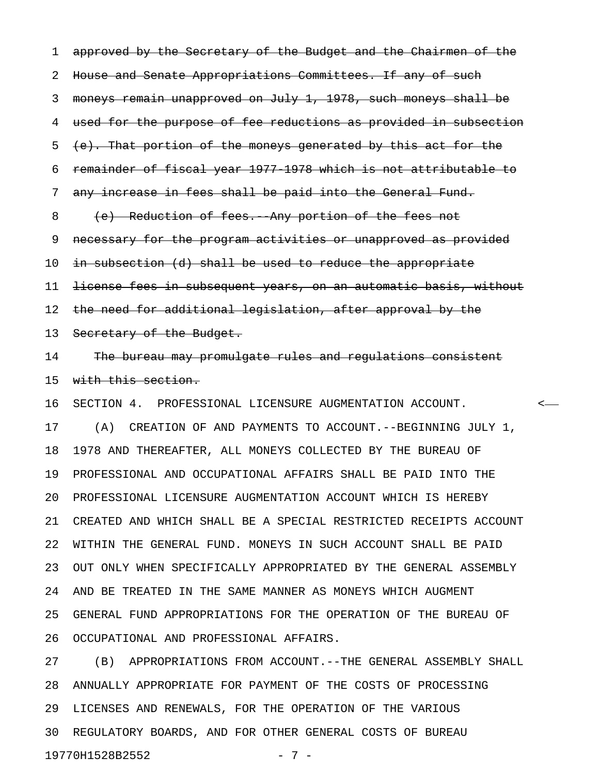1 approved by the Secretary of the Budget and the Chairmen of the 2 House and Senate Appropriations Committees. If any of such 3 moneys remain unapproved on July 1, 1978, such moneys shall be 4 used for the purpose of fee reductions as provided in subsection 5 (e). That portion of the moneys generated by this act for the 6 remainder of fiscal year 1977-1978 which is not attributable to 7 any increase in fees shall be paid into the General Fund. 8 (e) Reduction of fees. Any portion of the fees not 9 necessary for the program activities or unapproved as provided 10 in subsection (d) shall be used to reduce the appropriate 11 <del>license fees in subsequent years, on an automatic basis, without</del> 12 the need for additional legislation, after approval by the 13 Secretary of the Budget. 14 The bureau may promulgate rules and regulations consistent 15 with this section. 16 SECTION 4. PROFESSIONAL LICENSURE AUGMENTATION ACCOUNT. < 17 (A) CREATION OF AND PAYMENTS TO ACCOUNT.--BEGINNING JULY 1, 18 1978 AND THEREAFTER, ALL MONEYS COLLECTED BY THE BUREAU OF 19 PROFESSIONAL AND OCCUPATIONAL AFFAIRS SHALL BE PAID INTO THE 20 PROFESSIONAL LICENSURE AUGMENTATION ACCOUNT WHICH IS HEREBY 21 CREATED AND WHICH SHALL BE A SPECIAL RESTRICTED RECEIPTS ACCOUNT 22 WITHIN THE GENERAL FUND. MONEYS IN SUCH ACCOUNT SHALL BE PAID 23 OUT ONLY WHEN SPECIFICALLY APPROPRIATED BY THE GENERAL ASSEMBLY 24 AND BE TREATED IN THE SAME MANNER AS MONEYS WHICH AUGMENT 25 GENERAL FUND APPROPRIATIONS FOR THE OPERATION OF THE BUREAU OF 26 OCCUPATIONAL AND PROFESSIONAL AFFAIRS.

27 (B) APPROPRIATIONS FROM ACCOUNT.--THE GENERAL ASSEMBLY SHALL 28 ANNUALLY APPROPRIATE FOR PAYMENT OF THE COSTS OF PROCESSING 29 LICENSES AND RENEWALS, FOR THE OPERATION OF THE VARIOUS 30 REGULATORY BOARDS, AND FOR OTHER GENERAL COSTS OF BUREAU 19770H1528B2552 - 7 -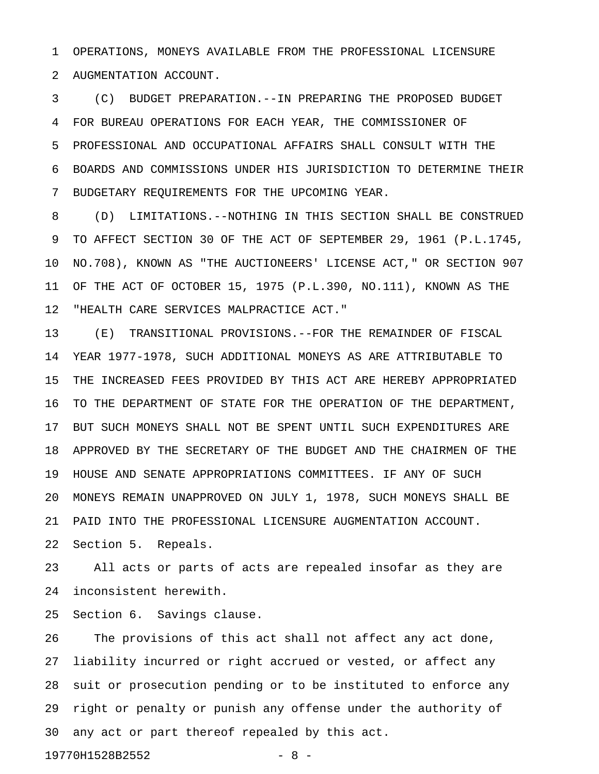1 OPERATIONS, MONEYS AVAILABLE FROM THE PROFESSIONAL LICENSURE 2 AUGMENTATION ACCOUNT.

3 (C) BUDGET PREPARATION.--IN PREPARING THE PROPOSED BUDGET 4 FOR BUREAU OPERATIONS FOR EACH YEAR, THE COMMISSIONER OF 5 PROFESSIONAL AND OCCUPATIONAL AFFAIRS SHALL CONSULT WITH THE 6 BOARDS AND COMMISSIONS UNDER HIS JURISDICTION TO DETERMINE THEIR 7 BUDGETARY REQUIREMENTS FOR THE UPCOMING YEAR.

8 (D) LIMITATIONS.--NOTHING IN THIS SECTION SHALL BE CONSTRUED 9 TO AFFECT SECTION 30 OF THE ACT OF SEPTEMBER 29, 1961 (P.L.1745, 10 NO.708), KNOWN AS "THE AUCTIONEERS' LICENSE ACT," OR SECTION 907 11 OF THE ACT OF OCTOBER 15, 1975 (P.L.390, NO.111), KNOWN AS THE 12 "HEALTH CARE SERVICES MALPRACTICE ACT."

13 (E) TRANSITIONAL PROVISIONS.--FOR THE REMAINDER OF FISCAL 14 YEAR 1977-1978, SUCH ADDITIONAL MONEYS AS ARE ATTRIBUTABLE TO 15 THE INCREASED FEES PROVIDED BY THIS ACT ARE HEREBY APPROPRIATED 16 TO THE DEPARTMENT OF STATE FOR THE OPERATION OF THE DEPARTMENT, 17 BUT SUCH MONEYS SHALL NOT BE SPENT UNTIL SUCH EXPENDITURES ARE 18 APPROVED BY THE SECRETARY OF THE BUDGET AND THE CHAIRMEN OF THE 19 HOUSE AND SENATE APPROPRIATIONS COMMITTEES. IF ANY OF SUCH 20 MONEYS REMAIN UNAPPROVED ON JULY 1, 1978, SUCH MONEYS SHALL BE 21 PAID INTO THE PROFESSIONAL LICENSURE AUGMENTATION ACCOUNT. 22 Section 5. Repeals.

23 All acts or parts of acts are repealed insofar as they are 24 inconsistent herewith.

25 Section 6. Savings clause.

26 The provisions of this act shall not affect any act done, 27 liability incurred or right accrued or vested, or affect any 28 suit or prosecution pending or to be instituted to enforce any 29 right or penalty or punish any offense under the authority of 30 any act or part thereof repealed by this act.

19770H1528B2552 - 8 -